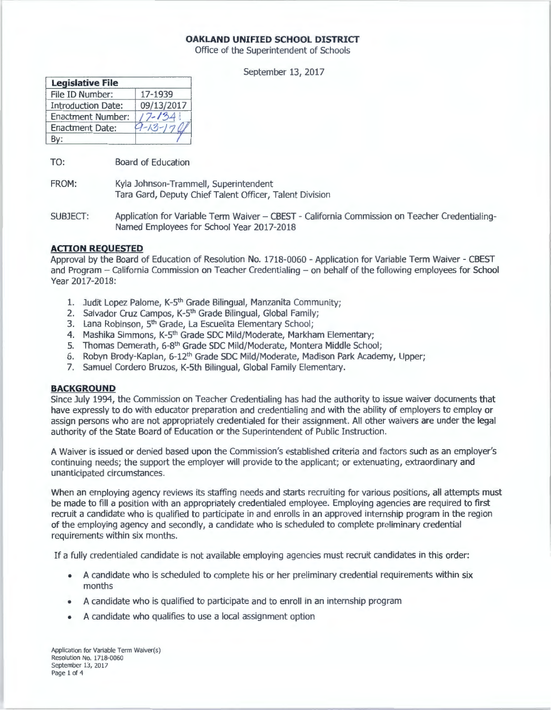# **OAKLAND UNIFIED SCHOOL DISTRICT**

Office of the Superintendent of Schools

September 13, 2017

| <b>Legislative File</b>   |                |
|---------------------------|----------------|
| File ID Number:           | 17-1939        |
| <b>Introduction Date:</b> | 09/13/2017     |
| <b>Enactment Number:</b>  | $7 - 134$      |
| <b>Enactment Date:</b>    | $9 - 13 - 176$ |
|                           |                |

TO: Board of Education

FROM: Kyla Johnson-Trammell, Superintendent Tara Gard, Deputy Chief Talent Officer, Talent Division

SUBJECT: Application for Variable Term Waiver - CBEST - California Commission on Teacher Credentialing-Named Employees for School Year 2017-2018

# **ACTION REQUESTED**

Approval by the Board of Education of Resolution No. 1718-0060 - Application for Variable Term Waiver - CBEST and Program - California Commission on Teacher Credentialing - on behalf of the following employees for School Year 2017-2018:

- 1. Judit Lopez Palome, K-5<sup>th</sup> Grade Bilingual, Manzanita Community;
- 2. Salvador Cruz Campos, K-5<sup>th</sup> Grade Bilingual, Global Family;
- 3. Lana Robinson, 5<sup>th</sup> Grade, La Escuelita Elementary School;
- 4. Mashika Simmons, K-5<sup>th</sup> Grade SDC Mild/Moderate, Markham Elementary;
- 5. Thomas Demerath, 6-8<sup>th</sup> Grade SDC Mild/Moderate, Montera Middle School;
- 6. Robyn Brody-Kaplan, 6-12<sup>th</sup> Grade SDC Mild/Moderate, Madison Park Academy, Upper;
- 7. Samuel Cordero Bruzas, K-Sth Bilingual, Global Family Elementary.

### **BACKGROUND**

Since July 1994, the Commission on Teacher Credentialing has had the authority to issue waiver documents that have expressly to do with educator preparation and credentialing and with the ability of employers to employ or assign persons who are not appropriately credentialed for their assignment. All other waivers are under the legal authority of the State Board of Education or the Superintendent of Public Instruction.

A Waiver is issued or denied based upon the Commission's established criteria and factors such as an employer's continuing needs; the support the employer will provide to the applicant; or extenuating, extraordinary and unanticipated circumstances.

When an employing agency reviews its staffing needs and starts recruiting for various positions, all attempts must be made to fill a position with an appropriately credentialed employee. Employing agencies are required to first recruit a candidate who is qualified to participate in and enrolls in an approved internship program in the region of the employing agency and secondly, a candidate who is scheduled to complete preliminary credential requirements within six months.

If a fully credentialed candidate is not available employing agencies must recruit candidates in this order:

- A candidate who is scheduled to complete his or her preliminary credential requirements within six months
- A candidate who is qualified to participate and to enroll in an internship program
- A candidate who qualifies to use a local assignment option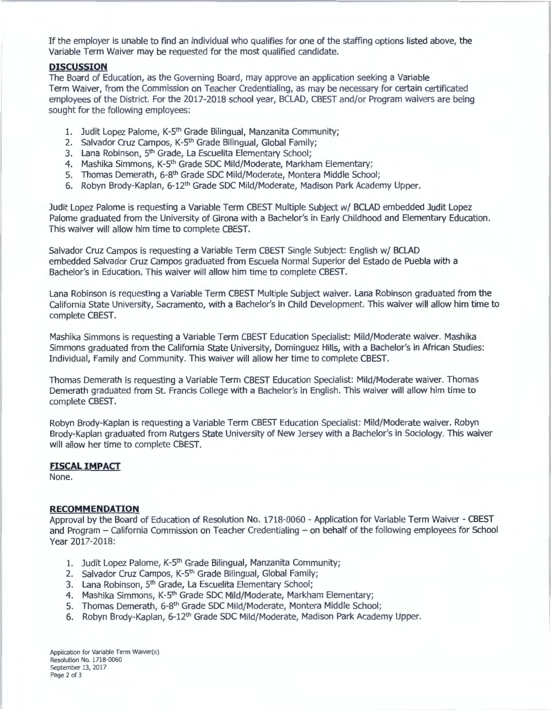If the employer is unable to find an individual who qualifies for one of the staffing options listed above, the Variable Term Waiver may be requested for the most qualified candidate.

#### **DISCUSSION**

The Board of Education, as the Governing Board, may approve an application seeking a Variable Term Waiver, from the Commission on Teacher Credentialing, as may be necessary for certain certificated employees of the District. For the 2017-2018 school year, BCLAD, CBEST and/or Program waivers are being sought for the following employees:

- 1. Judit Lopez Palome, K-5<sup>th</sup> Grade Bilingual, Manzanita Community;
- 2. Salvador Cruz Campos, K-5<sup>th</sup> Grade Bilingual, Global Family;
- 3. Lana Robinson, 5<sup>th</sup> Grade, La Escuelita Elementary School;
- 4. Mashika Simmons, K-5<sup>th</sup> Grade SDC Mild/Moderate, Markham Elementary;
- 5. Thomas Demerath, 6-8<sup>th</sup> Grade SDC Mild/Moderate, Montera Middle School;
- 6. Robyn Brody-Kaplan, 6-12<sup>th</sup> Grade SDC Mild/Moderate, Madison Park Academy Upper.

Judit Lopez Palome is requesting a Variable Term CBEST Multiple Subject w/ BCLAD embedded Judit Lopez Palome graduated from the University of Girona with a Bachelor's in Early Childhood and Elementary Education. This waiver will allow him time to complete CBEST.

Salvador Cruz Campos is requesting a Variable Term CBEST Single Subject: English w/ BCLAD embedded Salvador Cruz Campos graduated from Escuela Normal Superior del Estado de Puebla with a Bachelor's in Education. This waiver will allow him time to complete CBEST.

Lana Robinson is requesting a Variable Term CBEST Multiple Subject waiver. Lana Robinson graduated from the California State University, Sacramento, with a Bachelor's in Child Development. This waiver will allow him time to complete CBEST.

Mashika Simmons is requesting a Variable Term CBEST Education Specialist: Mild/Moderate waiver. Mashika Simmons graduated from the California State University, Dominguez Hills, with a Bachelor's in African Studies: Individual, Family and Community. This waiver will allow her time to complete CBEST.

Thomas Demerath is requesting a Variable Term CBEST Education Specialist: Mild/Moderate waiver. Thomas Demerath graduated from St. Francis College with a Bachelor's in English. This waiver will allow him time to complete CBEST.

Robyn Brody-Kaplan is requesting a Variable Term CBEST Education Specialist: Mild/Moderate waiver. Robyn Brody-Kaplan graduated from Rutgers State University of New Jersey with a Bachelor's in Sociology. This waiver will allow her time to complete CBEST.

## **FISCAL IMPACT**

None.

#### **RECOMMENDATION**

Approval by the Board of Education of Resolution No. 1718-0060 - Application for Variable Term Waiver - CBEST and Program - California Commission on Teacher Credentialing - on behalf of the following employees for School Year 2017-2018:

- 1. Judit Lopez Palome, K-5<sup>th</sup> Grade Bilingual, Manzanita Community;
- 2. Salvador Cruz Campos, K-5<sup>th</sup> Grade Bilingual, Global Family;
- 3. Lana Robinson, 5<sup>th</sup> Grade, La Escuelita Elementary School;
- 4. Mashika Simmons, K-5<sup>th</sup> Grade SDC Mild/Moderate, Markham Elementary;
- 5. Thomas Demerath, 6-8<sup>th</sup> Grade SDC Mild/Moderate, Montera Middle School;
- 6. Robyn Brody-Kaplan, 6-12<sup>th</sup> Grade SDC Mild/Moderate, Madison Park Academy Upper.